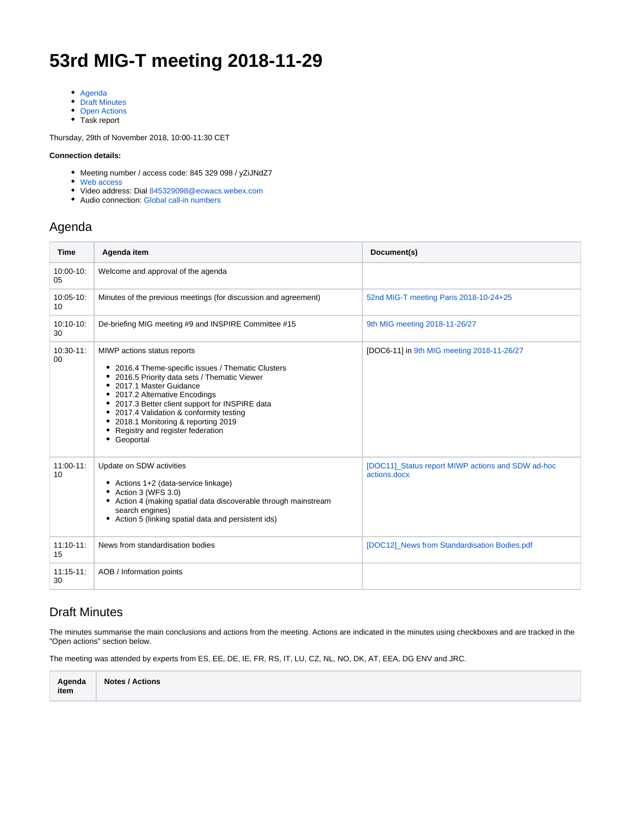# **53rd MIG-T meeting 2018-11-29**

- [Agenda](#page-0-0)
- [Draft Minutes](#page-0-1)
- [Open Actions](#page-2-0)
- Task report

Thursday, 29th of November 2018, 10:00-11:30 CET

#### **Connection details:**

- Meeting number / access code: 845 329 098 / yZiJNdZ7
- [Web access](https://ecwacs.webex.com/ecwacs/j.php?MTID=mc9b9ebd15401e6d951e312d1f7d198c3)
- Video address: Dial 845329098@ecwacs.webex.com
- Audio connection: [Global call-in numbers](https://ecwacs.webex.com/cmp3100/webcomponents/widget/globalcallin/globalcallin.do?siteurl=ecwacs&serviceType=MC&eventID=606328357&tollFree=0)

#### <span id="page-0-0"></span>Agenda

| <b>Time</b>            | Agenda item                                                                                                                                                                                                                                                                                                                                                                                  | Document(s)                                                       |
|------------------------|----------------------------------------------------------------------------------------------------------------------------------------------------------------------------------------------------------------------------------------------------------------------------------------------------------------------------------------------------------------------------------------------|-------------------------------------------------------------------|
| $10:00 - 10:$<br>05    | Welcome and approval of the agenda                                                                                                                                                                                                                                                                                                                                                           |                                                                   |
| $10:05-10$ :<br>10     | Minutes of the previous meetings (for discussion and agreement)                                                                                                                                                                                                                                                                                                                              | 52nd MIG-T meeting Paris 2018-10-24+25                            |
| $10:10-10:$<br>30      | De-briefing MIG meeting #9 and INSPIRE Committee #15                                                                                                                                                                                                                                                                                                                                         | 9th MIG meeting 2018-11-26/27                                     |
| $10:30-11$ :<br>$00\,$ | MIWP actions status reports<br>• 2016.4 Theme-specific issues / Thematic Clusters<br>• 2016.5 Priority data sets / Thematic Viewer<br>• 2017.1 Master Guidance<br>• 2017.2 Alternative Encodings<br>• 2017.3 Better client support for INSPIRE data<br>• 2017.4 Validation & conformity testing<br>• 2018.1 Monitoring & reporting 2019<br>• Registry and register federation<br>• Geoportal | [DOC6-11] in 9th MIG meeting 2018-11-26/27                        |
| $11:00-11$ :<br>10     | Update on SDW activities<br>• Actions 1+2 (data-service linkage)<br>$\bullet$ Action 3 (WFS 3.0)<br>• Action 4 (making spatial data discoverable through mainstream<br>search engines)<br>• Action 5 (linking spatial data and persistent ids)                                                                                                                                               | [DOC11] Status report MIWP actions and SDW ad-hoc<br>actions.docx |
| $11:10-11$ :<br>15     | News from standardisation bodies                                                                                                                                                                                                                                                                                                                                                             | [DOC12]_News from Standardisation Bodies.pdf                      |
| $11:15-11$ :<br>30     | AOB / Information points                                                                                                                                                                                                                                                                                                                                                                     |                                                                   |

#### <span id="page-0-1"></span>Draft Minutes

The minutes summarise the main conclusions and actions from the meeting. Actions are indicated in the minutes using checkboxes and are tracked in the "Open actions" section below.

The meeting was attended by experts from ES, EE, DE, IE, FR, RS, IT, LU, CZ, NL, NO, DK, AT, EEA, DG ENV and JRC.

| Agenda | <b>Notes / Actions</b> |
|--------|------------------------|
| item   |                        |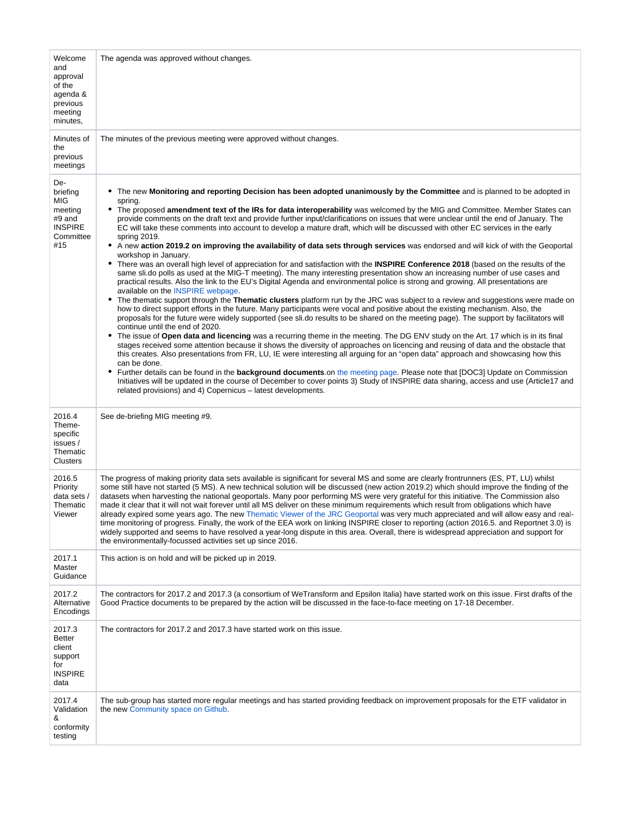| Welcome<br>and<br>approval<br>of the<br>agenda &<br>previous<br>meeting<br>minutes, | The agenda was approved without changes.                                                                                                                                                                                                                                                                                                                                                                                                                                                                                                                                                                                                                                                                                                                                                                                                                                                                                                                                                                                                                                                                                                                                                                                                                                                                                                                                                                                                                                                                                                                                                                                                                                                                                                                                                                                                                                                                                                                                                                                                                                                                                                                                                                                                                                                                                                                                                                                              |
|-------------------------------------------------------------------------------------|---------------------------------------------------------------------------------------------------------------------------------------------------------------------------------------------------------------------------------------------------------------------------------------------------------------------------------------------------------------------------------------------------------------------------------------------------------------------------------------------------------------------------------------------------------------------------------------------------------------------------------------------------------------------------------------------------------------------------------------------------------------------------------------------------------------------------------------------------------------------------------------------------------------------------------------------------------------------------------------------------------------------------------------------------------------------------------------------------------------------------------------------------------------------------------------------------------------------------------------------------------------------------------------------------------------------------------------------------------------------------------------------------------------------------------------------------------------------------------------------------------------------------------------------------------------------------------------------------------------------------------------------------------------------------------------------------------------------------------------------------------------------------------------------------------------------------------------------------------------------------------------------------------------------------------------------------------------------------------------------------------------------------------------------------------------------------------------------------------------------------------------------------------------------------------------------------------------------------------------------------------------------------------------------------------------------------------------------------------------------------------------------------------------------------------------|
| Minutes of<br>the<br>previous<br>meetings                                           | The minutes of the previous meeting were approved without changes.                                                                                                                                                                                                                                                                                                                                                                                                                                                                                                                                                                                                                                                                                                                                                                                                                                                                                                                                                                                                                                                                                                                                                                                                                                                                                                                                                                                                                                                                                                                                                                                                                                                                                                                                                                                                                                                                                                                                                                                                                                                                                                                                                                                                                                                                                                                                                                    |
| De-<br>briefing<br>MIG<br>meeting<br>#9 and<br><b>INSPIRE</b><br>Committee<br>#15   | • The new Monitoring and reporting Decision has been adopted unanimously by the Committee and is planned to be adopted in<br>spring.<br>• The proposed amendment text of the IRs for data interoperability was welcomed by the MIG and Committee. Member States can<br>provide comments on the draft text and provide further input/clarifications on issues that were unclear until the end of January. The<br>EC will take these comments into account to develop a mature draft, which will be discussed with other EC services in the early<br>spring 2019.<br>A new action 2019.2 on improving the availability of data sets through services was endorsed and will kick of with the Geoportal<br>٠<br>workshop in January.<br>There was an overall high level of appreciation for and satisfaction with the <b>INSPIRE Conference 2018</b> (based on the results of the<br>٠<br>same sli.do polls as used at the MIG-T meeting). The many interesting presentation show an increasing number of use cases and<br>practical results. Also the link to the EU's Digital Agenda and environmental police is strong and growing. All presentations are<br>available on the INSPIRE webpage.<br>The thematic support through the Thematic clusters platform run by the JRC was subject to a review and suggestions were made on<br>٠<br>how to direct support efforts in the future. Many participants were vocal and positive about the existing mechanism. Also, the<br>proposals for the future were widely supported (see sli.do results to be shared on the meeting page). The support by facilitators will<br>continue until the end of 2020.<br>• The issue of Open data and licencing was a recurring theme in the meeting. The DG ENV study on the Art. 17 which is in its final<br>stages received some attention because it shows the diversity of approaches on licencing and reusing of data and the obstacle that<br>this creates. Also presentations from FR, LU, IE were interesting all arguing for an "open data" approach and showcasing how this<br>can be done.<br>• Further details can be found in the <b>background documents</b> on the meeting page. Please note that [DOC3] Update on Commission<br>Initiatives will be updated in the course of December to cover points 3) Study of INSPIRE data sharing, access and use (Article17 and<br>related provisions) and 4) Copernicus – latest developments. |
| 2016.4<br>Theme-<br>specific<br>issues /<br>Thematic<br><b>Clusters</b>             | See de-briefing MIG meeting #9.                                                                                                                                                                                                                                                                                                                                                                                                                                                                                                                                                                                                                                                                                                                                                                                                                                                                                                                                                                                                                                                                                                                                                                                                                                                                                                                                                                                                                                                                                                                                                                                                                                                                                                                                                                                                                                                                                                                                                                                                                                                                                                                                                                                                                                                                                                                                                                                                       |
| 2016.5<br>Priority<br>data sets /<br>Thematic<br>Viewer                             | The progress of making priority data sets available is significant for several MS and some are clearly frontrunners (ES, PT, LU) whilst<br>some still have not started (5 MS). A new technical solution will be discussed (new action 2019.2) which should improve the finding of the<br>datasets when harvesting the national geoportals. Many poor performing MS were very grateful for this initiative. The Commission also<br>made it clear that it will not wait forever until all MS deliver on these minimum requirements which result from obligations which have<br>already expired some years ago. The new Thematic Viewer of the JRC Geoportal was very much appreciated and will allow easy and real-<br>time monitoring of progress. Finally, the work of the EEA work on linking INSPIRE closer to reporting (action 2016.5. and Reportnet 3.0) is<br>widely supported and seems to have resolved a year-long dispute in this area. Overall, there is widespread appreciation and support for<br>the environmentally-focussed activities set up since 2016.                                                                                                                                                                                                                                                                                                                                                                                                                                                                                                                                                                                                                                                                                                                                                                                                                                                                                                                                                                                                                                                                                                                                                                                                                                                                                                                                                             |
| 2017.1<br>Master<br>Guidance                                                        | This action is on hold and will be picked up in 2019.                                                                                                                                                                                                                                                                                                                                                                                                                                                                                                                                                                                                                                                                                                                                                                                                                                                                                                                                                                                                                                                                                                                                                                                                                                                                                                                                                                                                                                                                                                                                                                                                                                                                                                                                                                                                                                                                                                                                                                                                                                                                                                                                                                                                                                                                                                                                                                                 |
| 2017.2<br>Alternative<br>Encodings                                                  | The contractors for 2017.2 and 2017.3 (a consortium of WeTransform and Epsilon Italia) have started work on this issue. First drafts of the<br>Good Practice documents to be prepared by the action will be discussed in the face-to-face meeting on 17-18 December.                                                                                                                                                                                                                                                                                                                                                                                                                                                                                                                                                                                                                                                                                                                                                                                                                                                                                                                                                                                                                                                                                                                                                                                                                                                                                                                                                                                                                                                                                                                                                                                                                                                                                                                                                                                                                                                                                                                                                                                                                                                                                                                                                                  |
| 2017.3<br><b>Better</b><br>client<br>support<br>for<br><b>INSPIRE</b><br>data       | The contractors for 2017.2 and 2017.3 have started work on this issue.                                                                                                                                                                                                                                                                                                                                                                                                                                                                                                                                                                                                                                                                                                                                                                                                                                                                                                                                                                                                                                                                                                                                                                                                                                                                                                                                                                                                                                                                                                                                                                                                                                                                                                                                                                                                                                                                                                                                                                                                                                                                                                                                                                                                                                                                                                                                                                |
| 2017.4<br>Validation<br>&<br>conformity<br>testing                                  | The sub-group has started more regular meetings and has started providing feedback on improvement proposals for the ETF validator in<br>the new Community space on Github.                                                                                                                                                                                                                                                                                                                                                                                                                                                                                                                                                                                                                                                                                                                                                                                                                                                                                                                                                                                                                                                                                                                                                                                                                                                                                                                                                                                                                                                                                                                                                                                                                                                                                                                                                                                                                                                                                                                                                                                                                                                                                                                                                                                                                                                            |